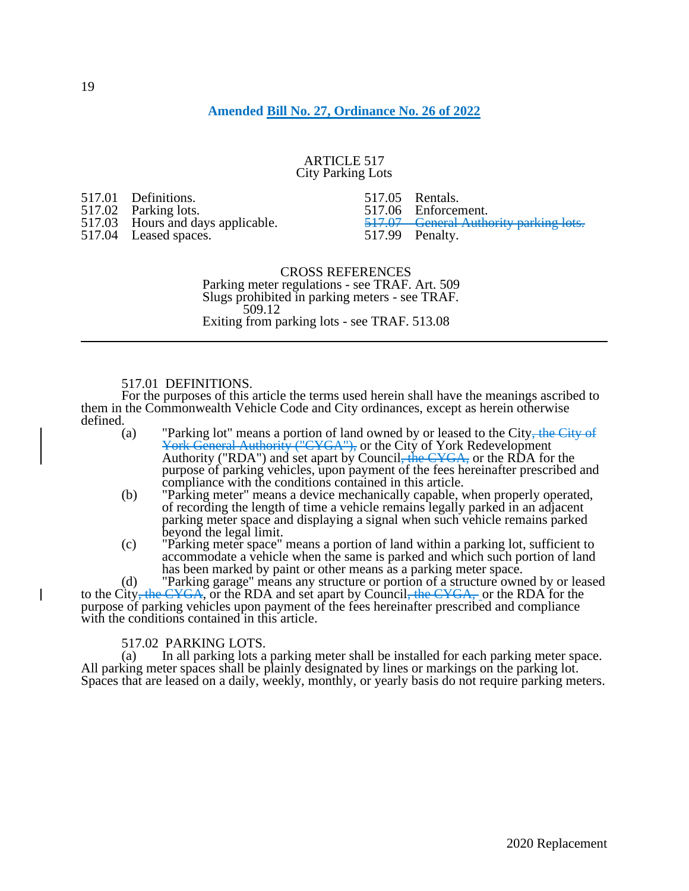# **Amended [Bill No. 27, Ordinance No. 26 of 2022](https://www.yorkcity.org/wp-content/uploads/2022/04/Bill27-Ord26.pdf)**

## ARTICLE 517 City Parking Lots

517.01 Definitions.<br>517.02 Parking lots 517.02 Parking lots.<br>517.03 Hours and da Hours and days applicable. 517.04 Leased spaces.

517.05 Rentals. 517.06 Enforcement.<br>517.07 General Auth **General Authority parking lots.** 517.99 Penalty.

CROSS REFERENCES Parking meter regulations - see TRAF. Art. 509 Slugs prohibited in parking meters - see TRAF. 509.12 Exiting from parking lots - see TRAF. 513.08

## 517.01 DEFINITIONS.

For the purposes of this article the terms used herein shall have the meanings ascribed to them in the Commonwealth Vehicle Code and City ordinances, except as herein otherwise defined.  $(a)$ 

- "Parking lot" means a portion of land owned by or leased to the City, the City of York General Authority ("CYGA"), or the City of York Redevelopment Authority ("RDA") and set apart by Council<del>, the CYGA,</del> or the RDA for the purpose of parking vehicles, upon payment of the fees hereinafter prescribed and compliance with the conditions contained in this article.
- (b) "Parking meter" means a device mechanically capable, when properly operated, of recording the length of time a vehicle remains legally parked in an adjacent parking meter space and displaying a signal when such vehicle remains parked beyond the legal limit.
- (c) "Parking meter space" means a portion of land within a parking lot, sufficient to accommodate a vehicle when the same is parked and which such portion of land has been marked by paint or other means as a parking meter space.

(d) "Parking garage" means any structure or portion of a structure owned by or leased to the City, the CYGA, or the RDA and set apart by Council, the CYGA, or the RDA for the purpose of parking vehicles upon payment of the fees hereinafter prescribed and compliance with the conditions contained in this article.

# 517.02 PARKING LOTS.<br>(a) In all parking lots a

In all parking lots a parking meter shall be installed for each parking meter space. All parking meter spaces shall be plainly designated by lines or markings on the parking lot. Spaces that are leased on a daily, weekly, monthly, or yearly basis do not require parking meters.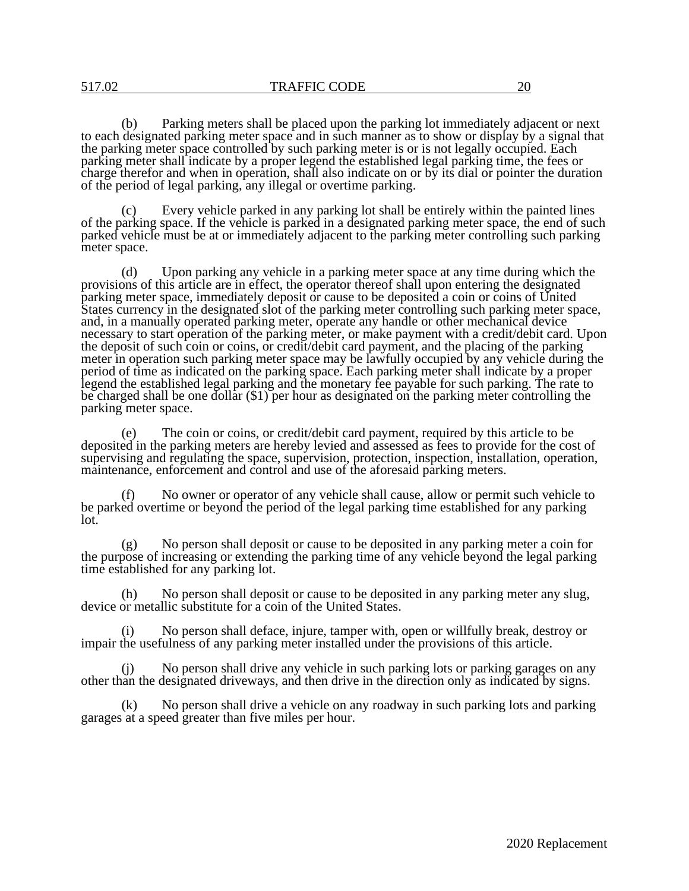(b) Parking meters shall be placed upon the parking lot immediately adjacent or next to each designated parking meter space and in such manner as to show or display by a signal that the parking meter space controlled by such parking meter is or is not legally occupied. Each parking meter shall indicate by a proper legend the established legal parking time, the fees or charge therefor and when in operation, shall also indicate on or by its dial or pointer the duration of the period of legal parking, any illegal or overtime parking.

Every vehicle parked in any parking lot shall be entirely within the painted lines of the parking space. If the vehicle is parked in a designated parking meter space, the end of such parked vehicle must be at or immediately adjacent to the parking meter controlling such parking meter space.

(d) Upon parking any vehicle in a parking meter space at any time during which the provisions of this article are in effect, the operator thereof shall upon entering the designated parking meter space, immediately deposit or cause to be deposited a coin or coins of United States currency in the designated slot of the parking meter controlling such parking meter space, and, in a manually operated parking meter, operate any handle or other mechanical device necessary to start operation of the parking meter, or make payment with a credit/debit card. Upon the deposit of such coin or coins, or credit/debit card payment, and the placing of the parking meter in operation such parking meter space may be lawfully occupied by any vehicle during the period of time as indicated on the parking space. Each parking meter shall indicate by a proper legend the established legal parking and the monetary fee payable for such parking. The rate to be charged shall be one dollar (\$1) per hour as designated on the parking meter controlling the parking meter space.

(e) The coin or coins, or credit/debit card payment, required by this article to be deposited in the parking meters are hereby levied and assessed as fees to provide for the cost of supervising and regulating the space, supervision, protection, inspection, installation, operation, maintenance, enforcement and control and use of the aforesaid parking meters.

(f) No owner or operator of any vehicle shall cause, allow or permit such vehicle to be parked overtime or beyond the period of the legal parking time established for any parking lot.

(g) No person shall deposit or cause to be deposited in any parking meter a coin for the purpose of increasing or extending the parking time of any vehicle beyond the legal parking time established for any parking lot.

(h) No person shall deposit or cause to be deposited in any parking meter any slug, device or metallic substitute for a coin of the United States.

(i) No person shall deface, injure, tamper with, open or willfully break, destroy or impair the usefulness of any parking meter installed under the provisions of this article.

(j) No person shall drive any vehicle in such parking lots or parking garages on any other than the designated driveways, and then drive in the direction only as indicated by signs.

(k) No person shall drive a vehicle on any roadway in such parking lots and parking garages at a speed greater than five miles per hour.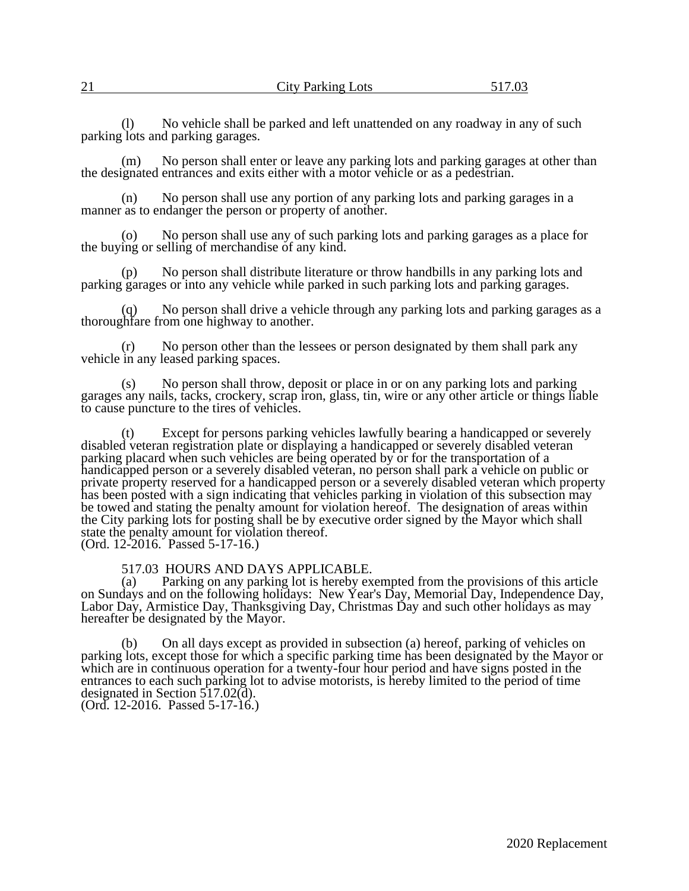| $\mathfrak{D}1$<br>◢ | <b>City Parking Lots</b> | 5170 |
|----------------------|--------------------------|------|
|                      |                          |      |

(l) No vehicle shall be parked and left unattended on any roadway in any of such parking lots and parking garages.

(m) No person shall enter or leave any parking lots and parking garages at other than the designated entrances and exits either with a motor vehicle or as a pedestrian.

(n) No person shall use any portion of any parking lots and parking garages in a manner as to endanger the person or property of another.

(o) No person shall use any of such parking lots and parking garages as a place for the buying or selling of merchandise of any kind.

(p) No person shall distribute literature or throw handbills in any parking lots and parking garages or into any vehicle while parked in such parking lots and parking garages.

No person shall drive a vehicle through any parking lots and parking garages as a thoroughfare from one highway to another.

(r) No person other than the lessees or person designated by them shall park any vehicle in any leased parking spaces.

(s) No person shall throw, deposit or place in or on any parking lots and parking garages any nails, tacks, crockery, scrap iron, glass, tin, wire or any other article or things liable to cause puncture to the tires of vehicles.

(t) Except for persons parking vehicles lawfully bearing a handicapped or severely disabled veteran registration plate or displaying a handicapped or severely disabled veteran parking placard when such vehicles are being operated by or for the transportation of a handicapped person or a severely disabled veteran, no person shall park a vehicle on public or private property reserved for a handicapped person or a severely disabled veteran which property has been posted with a sign indicating that vehicles parking in violation of this subsection may be towed and stating the penalty amount for violation hereof. The designation of areas within the City parking lots for posting shall be by executive order signed by the Mayor which shall state the penalty amount for violation thereof. (Ord. 12-2016. Passed 5-17-16.)

517.03 HOURS AND DAYS APPLICABLE.

(a) Parking on any parking lot is hereby exempted from the provisions of this article on Sundays and on the following holidays: New Year's Day, Memorial Day, Independence Day, Labor Day, Armistice Day, Thanksgiving Day, Christmas Day and such other holidays as may hereafter be designated by the Mayor.

(b) On all days except as provided in subsection (a) hereof, parking of vehicles on parking lots, except those for which a specific parking time has been designated by the Mayor or which are in continuous operation for a twenty-four hour period and have signs posted in the entrances to each such parking lot to advise motorists, is hereby limited to the period of time designated in Section 517.02(d).

(Ord. 12-2016. Passed 5-17-16.)